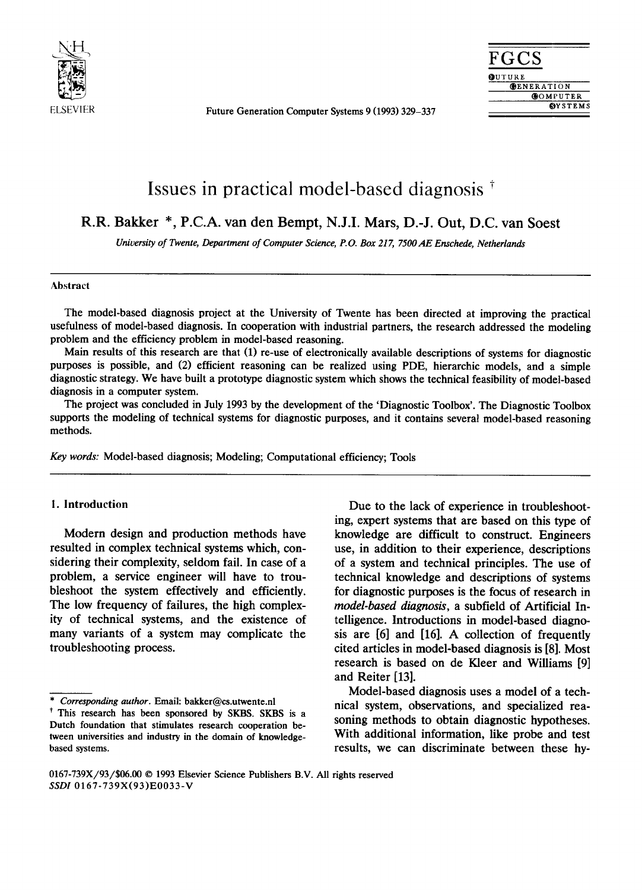

Future Generation Computer Systems 9 (1993) 329-337



# **Issues in practical model-based diagnosis**<sup>†</sup>

## **R.R. Bakker \*, P.C.A. van den Bempt, N.J.I. Mars, D.-J. Out, D.C. van Soest**

*University of Twente, Department of Computer Science, P.O. Box 217, 7500 AE Enschede, Netherlands* 

#### Abstract

The model-based diagnosis project at the University of Twente has been directed at improving the practical usefulness of model-based diagnosis. In cooperation with industrial partners, the research addressed the modeling problem and the efficiency problem in model-based reasoning.

Main results of this research are that (1) re-use of electronically available descriptions of systems for diagnostic purposes is possible, and (2) efficient reasoning can be realized using PDE, hierarchic models, and a simple diagnostic strategy. We have built a prototype diagnostic system which shows the technical feasibility of model-based diagnosis in a computer system.

The project was concluded in July 1993 by the development of the 'Diagnostic Toolbox'. The Diagnostic Toolbox supports the modeling of technical systems for diagnostic purposes, and it contains several model-based reasoning methods.

*Key words:* Model-based diagnosis; Modeling; Computational efficiency; Tools

#### 1. Introduction

Modern design and production methods have resulted in complex technical systems which, considering their complexity, seldom fail. In case of a problem, a service engineer will have to troubleshoot the system effectively and efficiently. The low frequency of failures, the high complexity of technical systems, and the existence of many variants of a system may complicate the troubleshooting process.

*Corresponding author.* Email: bakker@cs.utwente.nl

Due to the lack of experience in troubleshooting, expert systems that are based on this type of knowledge are difficult to construct. Engineers use, in addition to their experience, descriptions of a system and technical principles. The use of technical knowledge and descriptions of systems for diagnostic purposes is the focus of research in *model-based diagnosis,* a subfield of Artificial Intelligence. Introductions in model-based diagnosis are [6] and [16]. A collection of frequently cited articles in model-based diagnosis is [8]. Most research is based on de Kleer and Williams [9] and Reiter [13].

Model-based diagnosis uses a model of a technical system, observations, and specialized reasoning methods to obtain diagnostic hypotheses. With additional information, like probe and test results, we can discriminate between these hy-

<sup>\*</sup> This research has been sponsored by SKBS. SKBS is a Dutch foundation that stimulates research cooperation between universities and industry in the domain of knowledgebased systems.

<sup>0167-739</sup>X/93/\$06.00 © 1993 Elsevier Science Publishers B.V. All rights reserved *SSDI* 0167-739X(93)E0033-V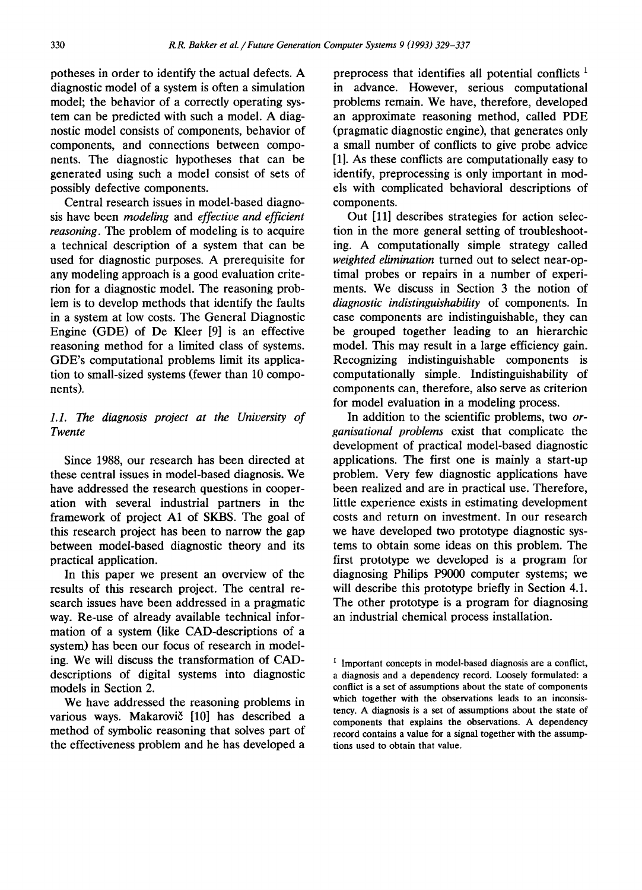potheses in order to identify the actual defects. A diagnostic model of a system is often a simulation model; the behavior of a correctly operating system can be predicted with such a model. A diagnostic model consists of components, behavior of components, and connections between components. The diagnostic hypotheses that can be generated using such a model consist of sets of possibly defective components.

Central research issues in model-based diagnosis have been *modeling* and *effective and efficient reasoning. The* problem of modeling is to acquire a technical description of a system that can be used for diagnostic purposes. A prerequisite for any modeling approach is a good evaluation criterion for a diagnostic model. The reasoning problem is to develop methods that identify the faults in a system at low costs. The General Diagnostic Engine (GDE) of De Kleer [9] is an effective reasoning method for a limited class of systems. GDE's computational problems limit its application to small-sized systems (fewer than 10 components).

### *1.1. The diagnosis project at the University of Twente*

Since 1988, our research has been directed at these central issues in model-based diagnosis. We have addressed the research questions in cooperation with several industrial partners in the framework of project A1 of SKBS. The goal of this research project has been to narrow the gap between model-based diagnostic theory and its practical application.

In this paper we present an overview of the results of this research project. The central research issues have been addressed in a pragmatic way. Re-use of already available technical information of a system (like CAD-descriptions of a system) has been our focus of research in modeling. We will discuss the transformation of CADdescriptions of digital systems into diagnostic models in Section 2.

We have addressed the reasoning problems in various ways. Makarovič [10] has described a method of symbolic reasoning that solves part of the effectiveness problem and he has developed a preprocess that identifies all potential conflicts  $<sup>1</sup>$ </sup> in advance. However, serious computational problems remain. We have, therefore, developed an approximate reasoning method, called PDE (pragmatic diagnostic engine), that generates only a small number of conflicts to give probe advice [1]. As these conflicts are computationally easy to identify, preprocessing is only important in models with complicated behavioral descriptions of components.

Out [11] describes strategies for action selection in the more general setting of troubleshooting. A computationally simple strategy called *weighted elimination* turned out to select near-optimal probes or repairs in a number of experiments. We discuss in Section 3 the notion of *diagnostic indistinguishability* of components. In case components are indistinguishable, they can be grouped together leading to an hierarchic model. This may result in a large efficiency gain. Recognizing indistinguishable components is computationally simple. Indistinguishability of components can, therefore, also serve as criterion for model evaluation in a modeling process.

In addition to the scientific problems, two *organisational problems* exist that complicate the development of practical model-based diagnostic applications. The first one is mainly a start-up problem. Very few diagnostic applications have been realized and are in practical use. Therefore, little experience exists in estimating development costs and return on investment. In our research we have developed two prototype diagnostic systems to obtain some ideas on this problem. The first prototype we developed is a program for diagnosing Philips P9000 computer systems; we will describe this prototype briefly in Section 4.1. The other prototype is a program for diagnosing an industrial chemical process installation.

<sup>&</sup>lt;sup>1</sup> Important concepts in model-based diagnosis are a conflict, a diagnosis and a dependency record. Loosely formulated: a conflict is a set of assumptions about the state of components which together with the observations leads to an inconsistency. A diagnosis is a set of assumptions about the state of components that explains the observations. A dependency record contains a value for a signal together with the assumptions used to obtain that value.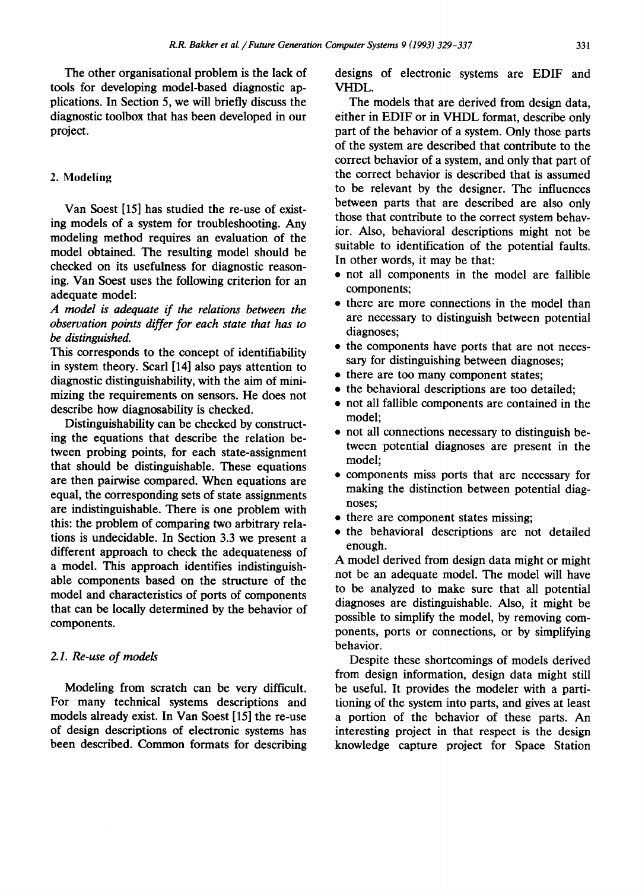The other organisational problem is the lack of tools for developing model-based diagnostic applications. In Section 5, we will briefly discuss the diagnostic toolbox that has been developed in our project.

#### 2. Modeling

Van Soest [15] has studied the re-use of existing models of a system for troubleshooting. Any modeling method requires an evaluation of the model obtained. The resulting model should be checked on its usefulness for diagnostic reasoning. Van Soest uses the following criterion for an adequate model:

*A model is adequate if the relations between the observation points differ for each state that has to be distinguished.* 

This corresponds to the concept of identifiability in system theory. Scarl [14] also pays attention to diagnostic distinguishability, with the aim of minimizing the requirements on sensors. He does not describe how diagnosability is checked.

Distinguishability can be checked by constructing the equations that describe the relation between probing points, for each state-assignment that should be distinguishable. These equations are then pairwise compared. When equations are equal, the corresponding sets of state assignments are indistinguishable. There is one problem with this: the problem of comparing two arbitrary relations is undecidable. In Section 3.3 we present a different approach to check the adequateness of a model. This approach identifies indistinguishable components based on the structure of the model and characteristics of ports of components that can be locally determined by the behavior of components.

#### *2.1. Re-use of models*

Modeling from scratch can be very difficult. For many technical systems descriptions and models already exist. In Van Soest [15] the re-use of design descriptions of electronic systems has been described. Common formats for describing designs of electronic systems are EDIF and VHDL.

The models that are derived from design data, either in EDIF or in VHDL format, describe only part of the behavior of a system. Only those parts of the system are described that contribute to the correct behavior of a system, and only that part of the correct behavior is described that is assumed to be relevant by the designer. The influences between parts that are described are also only those that contribute to the correct system behavior. Also, behavioral descriptions might not be suitable to identification of the potential faults. In other words, it may be that:

- not all components in the model are fallible components;
- there are more connections in the model than are necessary to distinguish between potential diagnoses;
- the components have ports that are not necessary for distinguishing between diagnoses;
- there are too many component states;
- the behavioral descriptions are too detailed;
- not all fallible components are contained in the model;
- not all connections necessary to distinguish between potential diagnoses are present in the model;
- components miss ports that are necessary for making the distinction between potential diagnoses;
- there are component states missing;
- the behavioral descriptions are not detailed enough.

A model derived from design data might or might not be an adequate model. The model will have to be analyzed to make sure that all potential diagnoses are distinguishable. Also, it might be possible to simplify the model, by removing components, ports or connections, or by simplifying behavior.

Despite these shortcomings of models derived from design information, design data might still be useful. It provides the modeler with a partitioning of the system into parts, and gives at least a portion of the behavior of these parts. An interesting project in that respect is the design knowledge capture project for Space Station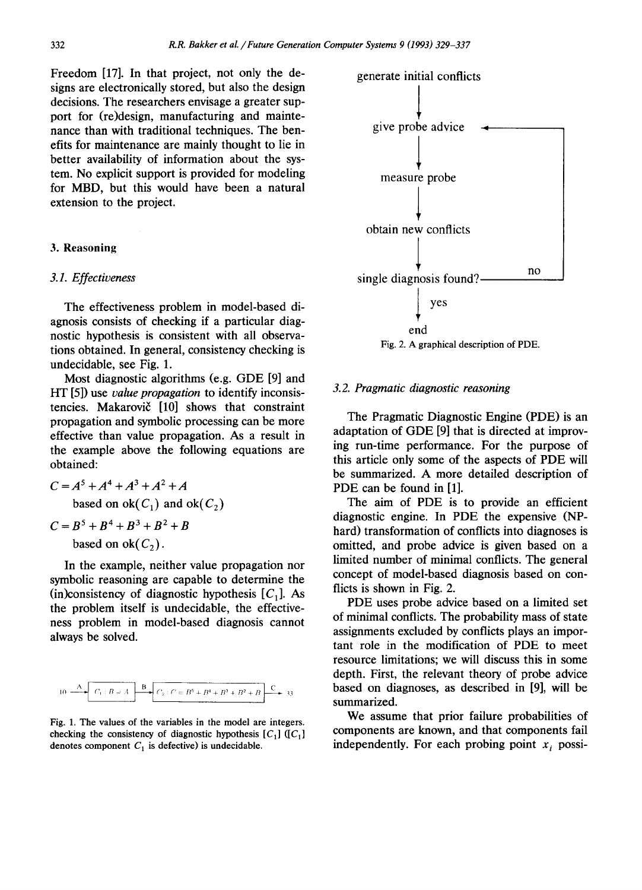Freedom [17]. In that project, not only the designs are electronically stored, but also the design decisions. The researchers envisage a greater support for (re)design, manufacturing and maintenance than with traditional techniques. The benefits for maintenance are mainly thought to lie in better availability of information about the system. No explicit support is provided for modeling for MBD, but this would have been a natural extension to the project.

#### 3. Reasoning

#### *3.1. Effectiveness*

The effectiveness problem in model-based diagnosis consists of checking if a particular diagnostic hypothesis is consistent with all observations obtained. In general, consistency checking is undecidable, see Fig. 1.

Most diagnostic algorithms (e.g. GDE [9] and HT [5]) use *value propagation* to identify inconsistencies. Makarovič [10] shows that constraint propagation and symbolic processing can be more effective than value propagation. As a result in the example above the following equations are obtained:

$$
C = A5 + A4 + A3 + A2 + A
$$
  
based on ok(C<sub>1</sub>) and ok(C<sub>2</sub>)  

$$
C = B5 + B4 + B3 + B2 + B
$$
  
based on ok(C<sub>2</sub>).

In the example, neither value propagation nor symbolic reasoning are capable to determine the (in)consistency of diagnostic hypothesis  $[C_1]$ . As the problem itself is undecidable, the effectiveness problem in model-based diagnosis cannot always be solved.



Fig. 1. The values of the variables in the model are integers. checking the consistency of diagnostic hypothesis  $[C_1]$   $([C_1]$ denotes component  $C_1$  is defective) is undecidable.



#### *3.2. Pragmatic diagnostic reasoning*

The Pragmatic Diagnostic Engine (PDE) is an adaptation of GDE [9] that is directed at improving run-time performance. For the purpose of this article only some of the aspects of PDE will be summarized. A more detailed description of PDE can be found in [1].

The aim of PDE is to provide an efficient diagnostic engine. In PDE the expensive (NPhard) transformation of conflicts into diagnoses is omitted, and probe advice is given based on a limited number of minimal conflicts. The general concept of model-based diagnosis based on conflicts is shown in Fig. 2.

PDE uses probe advice based on a limited set of minimal conflicts. The probability mass of state assignments excluded by conflicts plays an important role in the modification of PDE to meet resource limitations; we will discuss this in some depth. First, the relevant theory of probe advice based on diagnoses, as described in [9], will be summarized.

We assume that prior failure probabilities of components are known, and that components fail independently. For each probing point  $x_i$  possi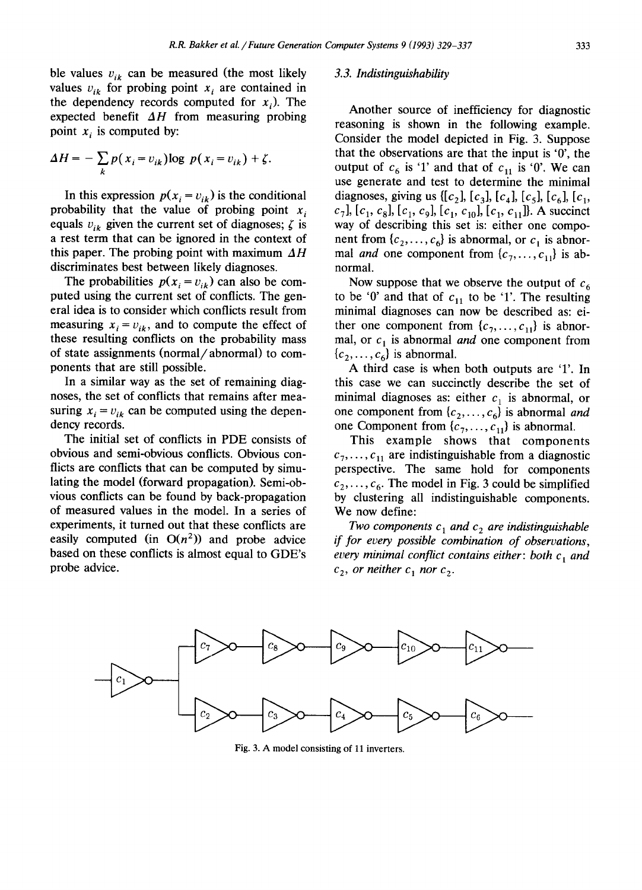ble values  $v_{ik}$  can be measured (the most likely values  $v_{ik}$  for probing point  $x_i$  are contained in the dependency records computed for  $x_i$ ). The expected benefit  $\Delta H$  from measuring probing point  $x_i$  is computed by:

$$
\Delta H = -\sum_{k} p(x_i = v_{ik}) \log p(x_i = v_{ik}) + \zeta.
$$

In this expression  $p(x_i = v_{ik})$  is the conditional probability that the value of probing point  $x_i$ equals  $v_{ik}$  given the current set of diagnoses;  $\zeta$  is a rest term that can be ignored in the context of this paper. The probing point with maximum  $\Delta H$ discriminates best between likely diagnoses.

The probabilities  $p(x_i = v_{ik})$  can also be computed using the current set of conflicts. The general idea is to consider which conflicts result from measuring  $x_i = v_{ik}$ , and to compute the effect of these resulting conflicts on the probability mass of state assignments (normal/abnormal) to components that are still possible.

In a similar way as the set of remaining diagnoses, the set of conflicts that remains after measuring  $x_i = v_{ik}$  can be computed using the dependency records.

The initial set of conflicts in PDE consists of obvious and semi-obvious conflicts. Obvious conflicts are conflicts that can be computed by simulating the model (forward propagation). Semi-obvious conflicts can be found by back-propagation of measured values in the model. In a series of experiments, it turned out that these conflicts are easily computed (in  $O(n^2)$ ) and probe advice based on these conflicts is almost equal to GDE's probe advice.

#### *3.3. Indistinguishability*

Another source of inefficiency for diagnostic reasoning is shown in the following example. Consider the model depicted in Fig. 3. Suppose that the observations are that the input is '0', the output of  $c_6$  is '1' and that of  $c_{11}$  is '0'. We can use generate and test to determine the minimal diagnoses, giving us  $\{[c_2], [c_3], [c_4], [c_5], [c_6], [c_1,$  $c_7$ ],  $[c_1, c_8]$ ,  $[c_1, c_9]$ ,  $[c_1, c_{10}]$ ,  $[c_1, c_{11}]$ . A succinct way of describing this set is: either one component from  $\{c_2,\ldots,c_6\}$  is abnormal, or  $c_1$  is abnormal *and* one component from  $\{c_7, \ldots, c_{11}\}\$ is abnormal.

Now suppose that we observe the output of  $c_6$ to be '0' and that of  $c_{11}$  to be '1'. The resulting minimal diagnoses can now be described as: either one component from  $\{c_7, \ldots, c_{11}\}\)$  is abnormal, or  $c_1$  is abnormal *and* one component from  ${c_2, \ldots, c_6}$  is abnormal.

A third case is when both outputs are '1'. In this case we can succinctly describe the set of minimal diagnoses as: either  $c_1$  is abnormal, or one component from  $\{c_2, \ldots, c_6\}$  is abnormal *and* one Component from  $\{c_7, \ldots, c_{11}\}$  is abnormal.

This example shows that components  $c_7, \ldots, c_{11}$  are indistinguishable from a diagnostic perspective. The same hold for components  $c_2, \ldots, c_6$ . The model in Fig. 3 could be simplified by clustering all indistinguishable components. We now define:

*Two components*  $c_1$  *and*  $c_2$  *are indistinguishable if for every possible combination of observations, every minimal conflict contains either: both c<sub>1</sub> and*  $c_2$ , *or neither*  $c_1$  *nor*  $c_2$ *.* 



Fig. 3. A model consisting of 11 inverters.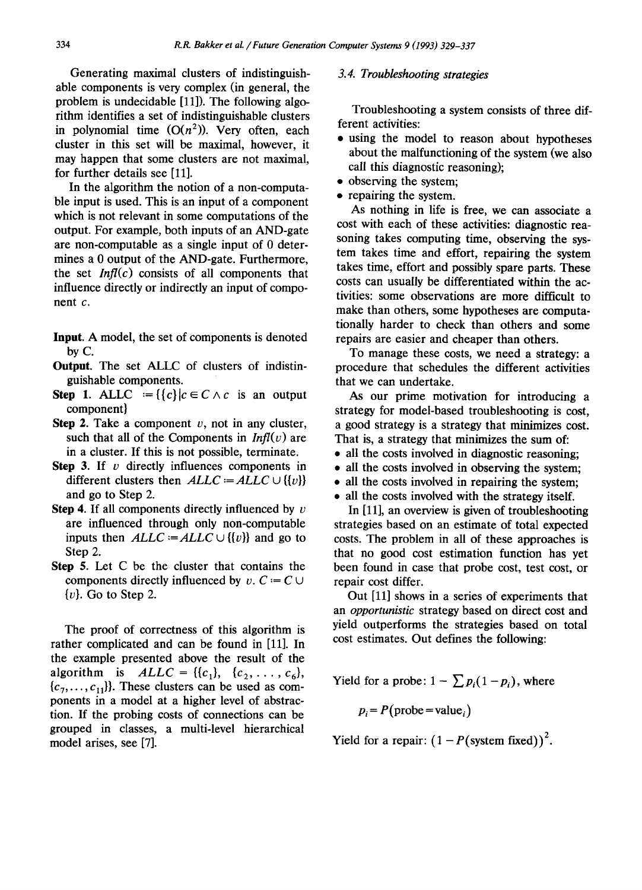Generating maximal clusters of indistinguishable components is very complex (in general, the problem is undecidable [11]). The following algorithm identifies a set of indistinguishable clusters in polynomial time  $(O(n^2))$ . Very often, each cluster in this set will be maximal, however, it may happen that some clusters are not maximal. for further details see [11].

In the algorithm the notion of a non-computable input is used. This is an input of a component which is not relevant in some computations of the output. For example, both inputs of an AND-gate are non-computable as a single input of 0 determines a 0 output of the AND-gate. Furthermore, the set  $Inf(c)$  consists of all components that influence directly or indirectly an input of component c.

- Input. A model, the set of components is denoted byC.
- Output. The set ALLC of clusters of indistinguishable components.
- **Step 1.** ALLC  $:=\{\{c\}|c \in C \wedge c$  is an output component}
- Step 2. Take a component  $v$ , not in any cluster, such that all of the Components in  $\text{Infl}(v)$  are in a duster. If this is not possible, terminate.
- Step 3. If  $v$  directly influences components in different clusters then  $ALLC = ALLC \cup \{(v)\}$ and go to Step 2.
- **Step 4.** If all components directly influenced by  $v$ are influenced through only non-computable inputs then  $ALLC = ALLC \cup \{\{v\}\}\$ and go to Step 2.
- Step 5. Let C be the cluster that contains the components directly influenced by v.  $C = C \cup$  ${v}$ . Go to Step 2.

The proof of correctness of this algorithm is rather complicated and can be found in [11]. In the example presented above the result of the algorithm is  $ALLC = \{(c_1), (c_2, \ldots, c_6)\}$  ${c_7, \ldots, c_{11}}$ . These clusters can be used as components in a model at a higher level of abstraction. If the probing costs of connections can be grouped in classes, a multi-level hierarchical model arises, see [7].

#### *3. 4. Troubleshooting strategies*

Troubleshooting a system consists of three different activities:

- using the model to reason about hypotheses about the malfunctioning of the system (we also call this diagnostic reasoning);
- observing the system:
- repairing the system.

As nothing in life is free, we can associate a cost with each of these activities: diagnostic reasoning takes computing time, observing the system takes time and effort, repairing the system takes time, effort and possibly spare parts. These costs can usually be differentiated within the activities: some observations are more difficult to make than others, some hypotheses are computationally harder to check than others and some repairs are easier and cheaper than others.

To manage these costs, we need a strategy: a procedure that schedules the different activities that we can undertake.

As our prime motivation for introducing a strategy for model-based troubleshooting is cost, a good strategy is a strategy that minimizes cost. That is, a strategy that minimizes the sum of:

- all the costs involved in diagnostic reasoning;
- all the costs involved in observing the system;
- all the costs involved in repairing the system;
- all the costs involved with the strategy itself.

In [11], an overview is given of troubleshooting strategies based on an estimate of total expected costs. The problem in all of these approaches is that no good cost estimation function has yet been found in case that probe cost, test cost, or repair cost differ.

Out [11] shows in a series of experiments that an *opportunistic* strategy based on direct cost and yield outperforms the strategies based on total cost estimates. Out defines the following:

Yield for a probe:  $1 - \sum p_i(1 - p_i)$ , where

 $p_i = P(\text{probe} = \text{value}_i)$ 

Yield for a repair:  $(1 - P$ (system fixed))<sup>2</sup>.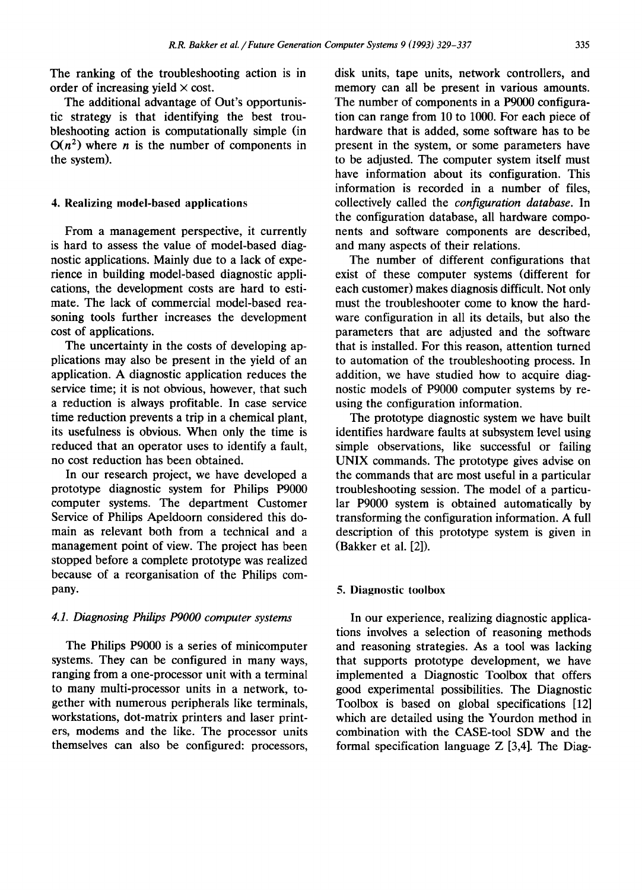The ranking of the troubleshooting action is in order of increasing yield  $\times$  cost.

The additional advantage of Out's opportunistic strategy is that identifying the best troubleshooting action is computationally simple (in  $O(n^2)$  where *n* is the number of components in the system).

#### **4. Realizing model-based applications**

From a management perspective, it currently is hard to assess the value of model-based diagnostic applications. Mainly due to a lack of experience in building model-based diagnostic applications, the development costs are hard to estimate. The lack of commercial model-based reasoning tools further increases the development cost of applications.

The uncertainty in the costs of developing applications may also be present in the yield of an application. A diagnostic application reduces the service time; it is not obvious, however, that such a reduction is always profitable. In case service time reduction prevents a trip in a chemical plant, its usefulness is obvious. When only the time is reduced that an operator uses to identify a fault, no cost reduction has been obtained.

In our research project, we have developed a prototype diagnostic system for Philips P9000 computer systems. The department Customer Service of Philips Apeldoorn considered this domain as relevant both from a technical and a management point of view. The project has been stopped before a complete prototype was realized because of a reorganisation of the Philips company.

#### *4.1. Diagnosing Philips P9000 computer systems*

The Philips P9000 is a series of minicomputer systems. They can be configured in many ways, ranging from a one-processor unit with a terminal to many multi-processor units in a network, together with numerous peripherals like terminals, workstations, dot-matrix printers and laser printers, modems and the like. The processor units themselves can also be configured: processors, disk units, tape units, network controllers, and memory can all be present in various amounts. The number of components in a P9000 configuration can range from 10 to 1000. For each piece of hardware that is added, some software has to be present in the system, or some parameters have to be adjusted. The computer system itself must have information about its configuration. This information is recorded in a number of files, collectively called the *configuration database.* In the configuration database, all hardware components and software components are described, and many aspects of their relations.

The number of different configurations that exist of these computer systems (different for each customer) makes diagnosis difficult. Not only must the troubleshooter come to know the hardware configuration in all its details, but also the parameters that are adjusted and the software that is installed. For this reason, attention turned to automation of the troubleshooting process. In addition, we have studied how to acquire diagnostic models of P9000 computer systems by reusing the configuration information.

The prototype diagnostic system we have built identifies hardware faults at subsystem level using simple observations, like successful or failing UNIX commands. The prototype gives advise on the commands that are most useful in a particular troubleshooting session. The model of a particular P9000 system is obtained automatically by transforming the configuration information. A full description of this prototype system is given in (Bakker et al. [2]).

#### 5. Diagnostic toolbox

In our experience, realizing diagnostic applications involves a selection of reasoning methods and reasoning strategies. As a tool was lacking that supports prototype development, we have implemented a Diagnostic Toolbox that offers good experimental possibilities. The Diagnostic Toolbox is based on global specifications [12] which are detailed using the Yourdon method in combination with the CASE-tool SDW and the formal specification language Z [3,4]. The Diag-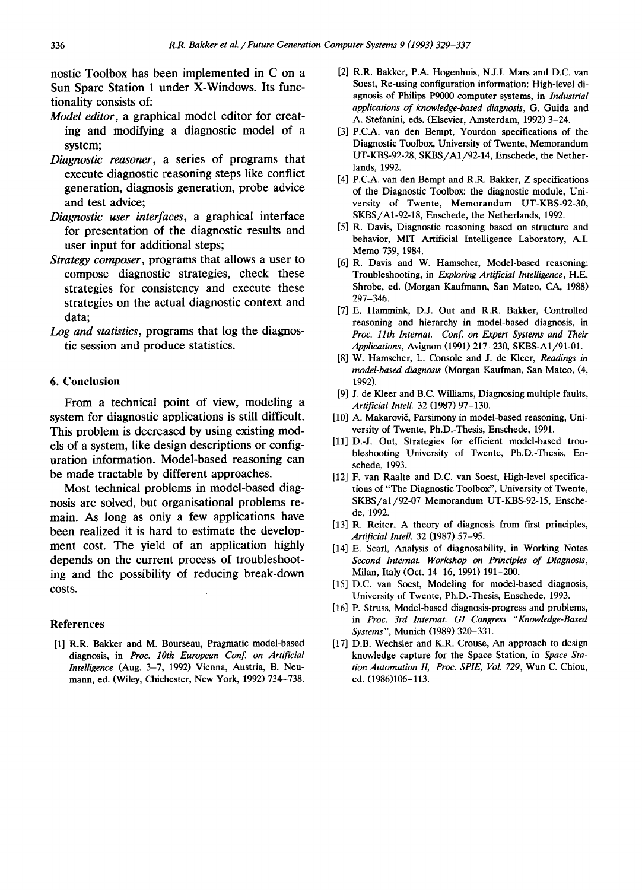nostic Toolbox has been implemented in C on a Sun Sparc Station 1 under X-Windows. Its functionality consists of:

- *Model editor,* a graphical model editor for creating and modifying a diagnostic model of a system;
- *Diagnostic reasoner,* a series of programs that execute diagnostic reasoning steps like conflict generation, diagnosis generation, probe advice and test advice;
- *Diagnostic user interfaces,* a graphical interface for presentation of the diagnostic results and user input for additional steps;
- *Strategy composer,* programs that allows a user to compose diagnostic strategies, check these strategies for consistency and execute these strategies on the actual diagnostic context and data;
- *Log and statistics,* programs that log the diagnostic session and produce statistics.

#### 6. Conclusion

From a technical point of view, modeling a system for diagnostic applications is still difficult. This problem is decreased by using existing models of a system, like design descriptions or configuration information. Model-based reasoning can be made tractable by different approaches.

Most technical problems in model-based diagnosis are solved, but organisational problems remain. As long as only a few applications have been realized it is hard to estimate the development cost. The yield of an application highly depends on the current process of troubleshooting and the possibility of reducing break-down costs.

#### References

[1] R.R. Bakker and M. Bourseau, Pragmatic model-based diagnosis, in *Proc. lOth European Conf. on Artificial Intelligence* (Aug. 3-7, 1992) Vienna, Austria, B. Neumann, ed. (Wiley, Chichester, New York, 1992) 734-738.

- [2] R.R. Bakker, P.A. Hogenhuis, N.J.I. Mars and D.C. van Soest, Re-using configuration information: High-level diagnosis of Philips P9000 computer systems, in *Industrial applications of knowledge-based diagnosis,* G. Guida and A. Stefanini, eds. (Elsevier, Amsterdam, 1992) 3-24.
- [3] P.C.A. van den Bempt, Yourdon specifications of the Diagnostic Toolbox, University of Twente, Memorandum UT-KBS-92-28, SKBS/A1/92-14, Enschede, the Netherlands, 1992.
- [4] P.C.A. van den Bempt and R.R. Bakker, Z specifications of the Diagnostic Toolbox: the diagnostic module, University of Twente, Memorandum UT-KBS-92-30, SKBS/A1-92-18, Enschede, the Netherlands, 1992.
- [5] R. Davis, Diagnostic reasoning based on structure and behavior, MIT Artificial Intelligence Laboratory, A.I. Memo 739, 1984.
- [6] R. Davis and W. Hamscher, Model-based reasoning: Troubleshooting, in *Exploring Artificial Intelligence,* H.E. Shrobe, ed. (Morgan Kaufmann, San Mateo, CA, 1988) 297-346.
- [7] E. Hammink, D.J. Out and R.R. Bakker, Controlled reasoning and hierarchy in model-based diagnosis, in *Proc. llth Internat. Conf. on Expert Systems and Their Applications,* Avignon (1991) 217-230, SKBS-A1/91-01.
- [8] W. Hamscher, L. Console and J. de Kleer, *Readings in model-based diagnosis* (Morgan Kaufman, San Mateo, (4, 1992).
- [9] J. de Kleer and B.C. Williams, Diagnosing multiple faults, *Artificial Intell.* 32 (1987) 97-130.
- [10] A. Makarovič, Parsimony in model-based reasoning, University of Twente, Ph.D.-Thesis, Enschede, 1991.
- [11] D.-J. Out, Strategies for efficient model-based troubleshooting University of Twente, Ph.D.-Thesis, Enschede, 1993.
- [12] F. van Raalte and D.C. van Soest, High-level specifications of "The Diagnostic Toolbox", University of Twente, SKBS/al/92-07 Memorandum UT-KBS-92-15, Enschede, 1992.
- [13] R. Reiter, A theory of diagnosis from first principles, *Artificial Intell.* 32 (1987) 57-95.
- [14] E. Scarl, Analysis of diagnosability, in Working Notes *Second lnternat. Workshop on Principles of Diagnosis,*  Milan, Italy (Oct. 14-16, 1991) 191-200.
- [15] D.C. van Soest, Modeling for model-based diagnosis, University of Twente, Ph.D.-Thesis, Enschede, 1993.
- [16] P. Struss, Model-based diagnosis-progress and problems, in *Proc. 3rd Internat. GI Congress "'Knowledge-Based Systems",* Munich (1989) 320-331.
- [17] D.B. Wechsler and K.R. Crouse, An approach to design knowledge capture for the Space Station, in *Space Station Automation II, Proc. SPIE, Vol. 729,* Wun C. Chiou, ed. (1986)106-113.